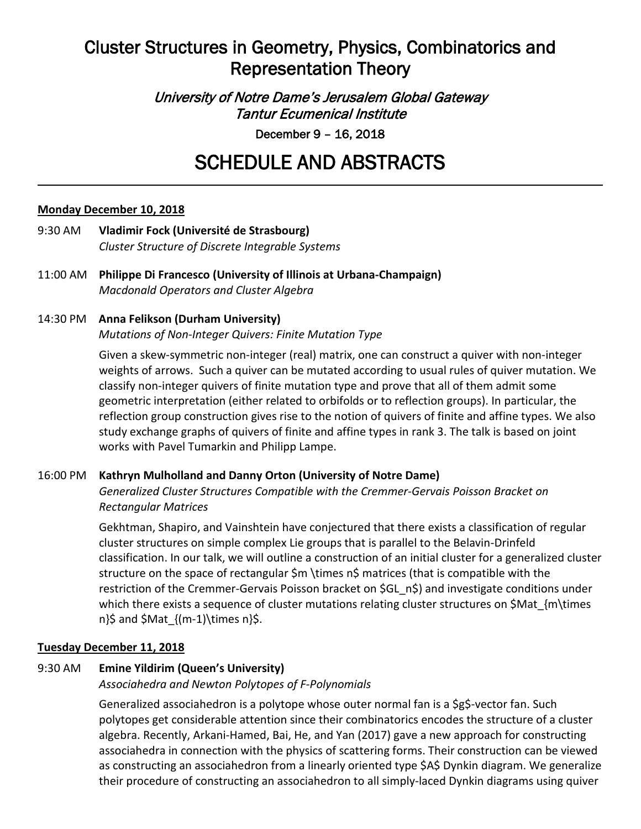## Cluster Structures in Geometry, Physics, Combinatorics and Representation Theory

University of Notre Dame's Jerusalem Global Gateway Tantur Ecumenical Institute

December 9 – 16, 2018

# SCHEDULE AND ABSTRACTS

#### **Monday December 10, 2018**

- 9:30 AM **Vladimir Fock (Université de Strasbourg)** *Cluster Structure of Discrete Integrable Systems*
- 11:00 AM **Philippe Di Francesco (University of Illinois at Urbana-Champaign)** *Macdonald Operators and Cluster Algebra*

## 14:30 PM **Anna Felikson (Durham University)** *Mutations of Non-Integer Quivers: Finite Mutation Type*

Given a skew-symmetric non-integer (real) matrix, one can construct a quiver with non-integer weights of arrows. Such a quiver can be mutated according to usual rules of quiver mutation. We classify non-integer quivers of finite mutation type and prove that all of them admit some geometric interpretation (either related to orbifolds or to reflection groups). In particular, the reflection group construction gives rise to the notion of quivers of finite and affine types. We also study exchange graphs of quivers of finite and affine types in rank 3. The talk is based on joint works with Pavel Tumarkin and Philipp Lampe.

#### 16:00 PM **Kathryn Mulholland and Danny Orton (University of Notre Dame)**

*Generalized Cluster Structures Compatible with the Cremmer-Gervais Poisson Bracket on Rectangular Matrices*

Gekhtman, Shapiro, and Vainshtein have conjectured that there exists a classification of regular cluster structures on simple complex Lie groups that is parallel to the Belavin-Drinfeld classification. In our talk, we will outline a construction of an initial cluster for a generalized cluster structure on the space of rectangular \$m \times n\$ matrices (that is compatible with the restriction of the Cremmer-Gervais Poisson bracket on \$GL\_n\$) and investigate conditions under which there exists a sequence of cluster mutations relating cluster structures on \$Mat {m\times n}\$ and \$Mat  ${(m-1)\times n}$ \$.

#### **Tuesday December 11, 2018**

## 9:30 AM **Emine Yildirim (Queen's University)**

*Associahedra and Newton Polytopes of F-Polynomials*

Generalized associahedron is a polytope whose outer normal fan is a \$g\$-vector fan. Such polytopes get considerable attention since their combinatorics encodes the structure of a cluster algebra. Recently, Arkani-Hamed, Bai, He, and Yan (2017) gave a new approach for constructing associahedra in connection with the physics of scattering forms. Their construction can be viewed as constructing an associahedron from a linearly oriented type \$A\$ Dynkin diagram. We generalize their procedure of constructing an associahedron to all simply-laced Dynkin diagrams using quiver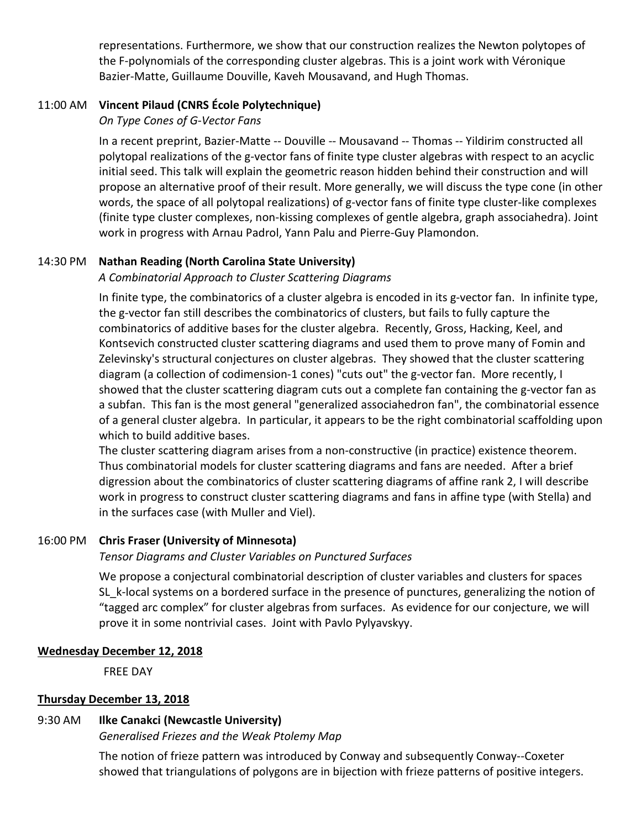representations. Furthermore, we show that our construction realizes the Newton polytopes of the F-polynomials of the corresponding cluster algebras. This is a joint work with Véronique Bazier-Matte, Guillaume Douville, Kaveh Mousavand, and Hugh Thomas.

#### 11:00 AM **Vincent Pilaud (CNRS École Polytechnique)**

*On Type Cones of G-Vector Fans*

In a recent preprint, Bazier-Matte -- Douville -- Mousavand -- Thomas -- Yildirim constructed all polytopal realizations of the g-vector fans of finite type cluster algebras with respect to an acyclic initial seed. This talk will explain the geometric reason hidden behind their construction and will propose an alternative proof of their result. More generally, we will discuss the type cone (in other words, the space of all polytopal realizations) of g-vector fans of finite type cluster-like complexes (finite type cluster complexes, non-kissing complexes of gentle algebra, graph associahedra). Joint work in progress with Arnau Padrol, Yann Palu and Pierre-Guy Plamondon.

#### 14:30 PM **Nathan Reading (North Carolina State University)**

#### *A Combinatorial Approach to Cluster Scattering Diagrams*

In finite type, the combinatorics of a cluster algebra is encoded in its g-vector fan. In infinite type, the g-vector fan still describes the combinatorics of clusters, but fails to fully capture the combinatorics of additive bases for the cluster algebra. Recently, Gross, Hacking, Keel, and Kontsevich constructed cluster scattering diagrams and used them to prove many of Fomin and Zelevinsky's structural conjectures on cluster algebras. They showed that the cluster scattering diagram (a collection of codimension-1 cones) "cuts out" the g-vector fan. More recently, I showed that the cluster scattering diagram cuts out a complete fan containing the g-vector fan as a subfan. This fan is the most general "generalized associahedron fan", the combinatorial essence of a general cluster algebra. In particular, it appears to be the right combinatorial scaffolding upon which to build additive bases.

The cluster scattering diagram arises from a non-constructive (in practice) existence theorem. Thus combinatorial models for cluster scattering diagrams and fans are needed. After a brief digression about the combinatorics of cluster scattering diagrams of affine rank 2, I will describe work in progress to construct cluster scattering diagrams and fans in affine type (with Stella) and in the surfaces case (with Muller and Viel).

#### 16:00 PM **Chris Fraser (University of Minnesota)**

#### *Tensor Diagrams and Cluster Variables on Punctured Surfaces*

We propose a conjectural combinatorial description of cluster variables and clusters for spaces SL\_k-local systems on a bordered surface in the presence of punctures, generalizing the notion of "tagged arc complex" for cluster algebras from surfaces. As evidence for our conjecture, we will prove it in some nontrivial cases. Joint with Pavlo Pylyavskyy.

#### **Wednesday December 12, 2018**

FREE DAY

#### **Thursday December 13, 2018**

#### 9:30 AM **Ilke Canakci (Newcastle University)**

*Generalised Friezes and the Weak Ptolemy Map*

The notion of frieze pattern was introduced by Conway and subsequently Conway--Coxeter showed that triangulations of polygons are in bijection with frieze patterns of positive integers.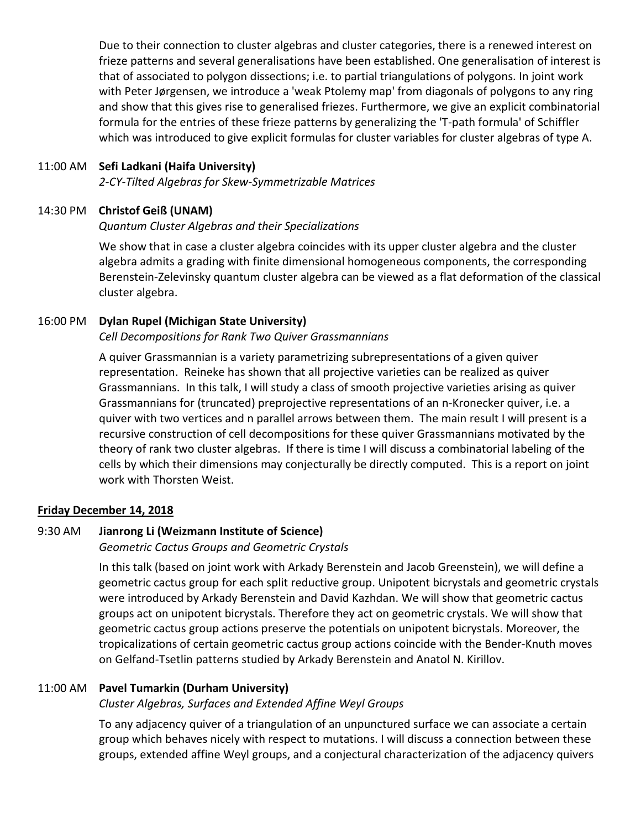Due to their connection to cluster algebras and cluster categories, there is a renewed interest on frieze patterns and several generalisations have been established. One generalisation of interest is that of associated to polygon dissections; i.e. to partial triangulations of polygons. In joint work with Peter Jørgensen, we introduce a 'weak Ptolemy map' from diagonals of polygons to any ring and show that this gives rise to generalised friezes. Furthermore, we give an explicit combinatorial formula for the entries of these frieze patterns by generalizing the 'T-path formula' of Schiffler which was introduced to give explicit formulas for cluster variables for cluster algebras of type A.

#### 11:00 AM **Sefi Ladkani (Haifa University)**

*2-CY-Tilted Algebras for Skew-Symmetrizable Matrices*

#### 14:30 PM **Christof Geiß (UNAM)**

#### *Quantum Cluster Algebras and their Specializations*

We show that in case a cluster algebra coincides with its upper cluster algebra and the cluster algebra admits a grading with finite dimensional homogeneous components, the corresponding Berenstein-Zelevinsky quantum cluster algebra can be viewed as a flat deformation of the classical cluster algebra.

#### 16:00 PM **Dylan Rupel (Michigan State University)**

#### *Cell Decompositions for Rank Two Quiver Grassmannians*

A quiver Grassmannian is a variety parametrizing subrepresentations of a given quiver representation. Reineke has shown that all projective varieties can be realized as quiver Grassmannians. In this talk, I will study a class of smooth projective varieties arising as quiver Grassmannians for (truncated) preprojective representations of an n-Kronecker quiver, i.e. a quiver with two vertices and n parallel arrows between them. The main result I will present is a recursive construction of cell decompositions for these quiver Grassmannians motivated by the theory of rank two cluster algebras. If there is time I will discuss a combinatorial labeling of the cells by which their dimensions may conjecturally be directly computed. This is a report on joint work with Thorsten Weist.

#### **Friday December 14, 2018**

#### 9:30 AM **Jianrong Li (Weizmann Institute of Science)**

*Geometric Cactus Groups and Geometric Crystals*

In this talk (based on joint work with Arkady Berenstein and Jacob Greenstein), we will define a geometric cactus group for each split reductive group. Unipotent bicrystals and geometric crystals were introduced by Arkady Berenstein and David Kazhdan. We will show that geometric cactus groups act on unipotent bicrystals. Therefore they act on geometric crystals. We will show that geometric cactus group actions preserve the potentials on unipotent bicrystals. Moreover, the tropicalizations of certain geometric cactus group actions coincide with the Bender-Knuth moves on Gelfand-Tsetlin patterns studied by Arkady Berenstein and Anatol N. Kirillov.

#### 11:00 AM **Pavel Tumarkin (Durham University)**

#### *Cluster Algebras, Surfaces and Extended Affine Weyl Groups*

To any adjacency quiver of a triangulation of an unpunctured surface we can associate a certain group which behaves nicely with respect to mutations. I will discuss a connection between these groups, extended affine Weyl groups, and a conjectural characterization of the adjacency quivers